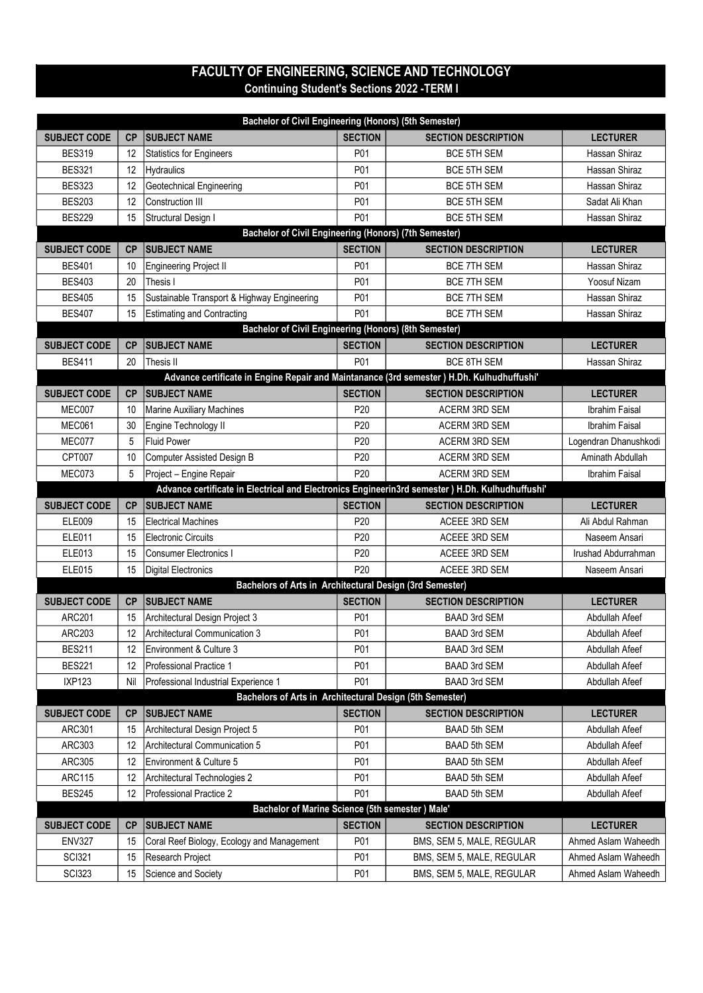## FACULTY OF ENGINEERING, SCIENCE AND TECHNOLOGY Continuing Student's Sections 2022 -TERM I

| Bachelor of Civil Engineering (Honors) (5th Semester) |           |                                                                                                  |                |                                                        |                                            |  |  |  |  |
|-------------------------------------------------------|-----------|--------------------------------------------------------------------------------------------------|----------------|--------------------------------------------------------|--------------------------------------------|--|--|--|--|
| <b>SUBJECT CODE</b>                                   | CP        | <b>SUBJECT NAME</b>                                                                              | <b>SECTION</b> | <b>SECTION DESCRIPTION</b>                             | <b>LECTURER</b>                            |  |  |  |  |
| <b>BES319</b>                                         | 12        | <b>Statistics for Engineers</b>                                                                  | P01            | <b>BCE 5TH SEM</b>                                     | Hassan Shiraz                              |  |  |  |  |
| <b>BES321</b>                                         | 12        | <b>Hydraulics</b>                                                                                | P01            | <b>BCE 5TH SEM</b>                                     | Hassan Shiraz                              |  |  |  |  |
| <b>BES323</b>                                         | 12        | Geotechnical Engineering                                                                         | P01            | <b>BCE 5TH SEM</b>                                     | Hassan Shiraz                              |  |  |  |  |
| <b>BES203</b>                                         | 12        | <b>Construction III</b>                                                                          | P01            | BCE 5TH SEM                                            | Sadat Ali Khan                             |  |  |  |  |
| <b>BES229</b>                                         | 15        | Structural Design I                                                                              | P01            | <b>BCE 5TH SEM</b>                                     | Hassan Shiraz                              |  |  |  |  |
|                                                       |           | Bachelor of Civil Engineering (Honors) (7th Semester)                                            |                |                                                        |                                            |  |  |  |  |
| <b>SUBJECT CODE</b>                                   | <b>CP</b> | <b>SUBJECT NAME</b>                                                                              | <b>SECTION</b> | <b>SECTION DESCRIPTION</b>                             | <b>LECTURER</b>                            |  |  |  |  |
| <b>BES401</b>                                         | 10        | Engineering Project II                                                                           | P01            | <b>BCE 7TH SEM</b>                                     | Hassan Shiraz                              |  |  |  |  |
| <b>BES403</b>                                         | 20        | Thesis I                                                                                         | P01            | <b>BCE 7TH SEM</b>                                     | Yoosuf Nizam                               |  |  |  |  |
| <b>BES405</b>                                         | 15        | Sustainable Transport & Highway Engineering                                                      | P01            | <b>BCE 7TH SEM</b>                                     | Hassan Shiraz                              |  |  |  |  |
| <b>BES407</b>                                         | 15        | <b>Estimating and Contracting</b>                                                                | P01            | <b>BCE 7TH SEM</b>                                     | Hassan Shiraz                              |  |  |  |  |
|                                                       |           | Bachelor of Civil Engineering (Honors) (8th Semester)                                            |                |                                                        |                                            |  |  |  |  |
| <b>SUBJECT CODE</b>                                   | <b>CP</b> | <b>SUBJECT NAME</b>                                                                              | <b>SECTION</b> | <b>SECTION DESCRIPTION</b>                             | <b>LECTURER</b>                            |  |  |  |  |
| <b>BES411</b>                                         | 20        | Thesis II                                                                                        | P01            | <b>BCE 8TH SEM</b>                                     | Hassan Shiraz                              |  |  |  |  |
|                                                       |           | Advance certificate in Engine Repair and Maintanance (3rd semester ) H.Dh. Kulhudhuffushi'       |                |                                                        |                                            |  |  |  |  |
| <b>SUBJECT CODE</b>                                   | CP        | <b>SUBJECT NAME</b>                                                                              | <b>SECTION</b> | <b>SECTION DESCRIPTION</b>                             | <b>LECTURER</b>                            |  |  |  |  |
| MEC007                                                | 10        | <b>Marine Auxiliary Machines</b>                                                                 | P20            | <b>ACERM 3RD SEM</b>                                   | <b>Ibrahim Faisal</b>                      |  |  |  |  |
| MEC061                                                | 30        | Engine Technology II                                                                             | P20            | ACERM 3RD SEM                                          | Ibrahim Faisal                             |  |  |  |  |
| MEC077                                                | 5         | <b>Fluid Power</b>                                                                               | P20            | ACERM 3RD SEM                                          | Logendran Dhanushkodi                      |  |  |  |  |
| CPT007                                                | 10        | Computer Assisted Design B                                                                       | P20            | <b>ACERM 3RD SEM</b>                                   | Aminath Abdullah                           |  |  |  |  |
| MEC073                                                | 5         | Project - Engine Repair                                                                          | P20            | <b>ACERM 3RD SEM</b>                                   | Ibrahim Faisal                             |  |  |  |  |
|                                                       |           | Advance certificate in Electrical and Electronics Engineerin3rd semester ) H.Dh. Kulhudhuffushi' |                |                                                        |                                            |  |  |  |  |
| <b>SUBJECT CODE</b>                                   | CP        | <b>SUBJECT NAME</b>                                                                              | <b>SECTION</b> | <b>SECTION DESCRIPTION</b>                             | <b>LECTURER</b>                            |  |  |  |  |
|                                                       |           |                                                                                                  |                |                                                        |                                            |  |  |  |  |
| ELE009                                                | 15        | <b>Electrical Machines</b>                                                                       | P20            | <b>ACEEE 3RD SEM</b>                                   | Ali Abdul Rahman                           |  |  |  |  |
| <b>ELE011</b>                                         | 15        | <b>Electronic Circuits</b>                                                                       | P20            | <b>ACEEE 3RD SEM</b>                                   | Naseem Ansari                              |  |  |  |  |
| ELE013                                                | 15        | <b>Consumer Electronics I</b>                                                                    | P20            | ACEEE 3RD SEM                                          | Irushad Abdurrahman                        |  |  |  |  |
| ELE015                                                | 15        | Digital Electronics                                                                              | P20            | ACEEE 3RD SEM                                          | Naseem Ansari                              |  |  |  |  |
|                                                       |           | Bachelors of Arts in Architectural Design (3rd Semester)                                         |                |                                                        |                                            |  |  |  |  |
| <b>SUBJECT CODE</b>                                   | CP        | <b>SUBJECT NAME</b>                                                                              | <b>SECTION</b> | <b>SECTION DESCRIPTION</b>                             | <b>LECTURER</b>                            |  |  |  |  |
| <b>ARC201</b>                                         | 15        | Architectural Design Project 3                                                                   | P01            | <b>BAAD 3rd SEM</b>                                    | Abdullah Afeef                             |  |  |  |  |
| <b>ARC203</b>                                         | 12        | Architectural Communication 3                                                                    | P01            | <b>BAAD 3rd SEM</b>                                    | Abdullah Afeef                             |  |  |  |  |
| <b>BES211</b>                                         | 12        | Environment & Culture 3                                                                          | P01            | BAAD 3rd SEM                                           | Abdullah Afeef                             |  |  |  |  |
| <b>BES221</b>                                         | 12        | Professional Practice 1                                                                          | P01            | BAAD 3rd SEM                                           | Abdullah Afeef                             |  |  |  |  |
| <b>IXP123</b>                                         | Nil       | Professional Industrial Experience 1                                                             | P01            | <b>BAAD 3rd SEM</b>                                    | Abdullah Afeef                             |  |  |  |  |
|                                                       |           | Bachelors of Arts in Architectural Design (5th Semester)                                         |                |                                                        |                                            |  |  |  |  |
| <b>SUBJECT CODE</b>                                   | СP        | <b>SUBJECT NAME</b>                                                                              | <b>SECTION</b> | <b>SECTION DESCRIPTION</b>                             | <b>LECTURER</b>                            |  |  |  |  |
| ARC301                                                | 15        | Architectural Design Project 5                                                                   | P01            | <b>BAAD 5th SEM</b>                                    | Abdullah Afeef                             |  |  |  |  |
| ARC303                                                | 12        | Architectural Communication 5                                                                    | P01            | <b>BAAD 5th SEM</b>                                    | Abdullah Afeef                             |  |  |  |  |
| <b>ARC305</b>                                         | 12        | Environment & Culture 5                                                                          | P01            | <b>BAAD 5th SEM</b>                                    | Abdullah Afeef                             |  |  |  |  |
| <b>ARC115</b>                                         | 12        | Architectural Technologies 2                                                                     | P01            | <b>BAAD 5th SEM</b>                                    | Abdullah Afeef                             |  |  |  |  |
| <b>BES245</b>                                         | 12        | Professional Practice 2                                                                          | P01            | BAAD 5th SEM                                           | Abdullah Afeef                             |  |  |  |  |
|                                                       |           | Bachelor of Marine Science (5th semester ) Male'                                                 |                |                                                        |                                            |  |  |  |  |
| <b>SUBJECT CODE</b>                                   | СP        | <b>SUBJECT NAME</b>                                                                              | <b>SECTION</b> | <b>SECTION DESCRIPTION</b>                             | <b>LECTURER</b>                            |  |  |  |  |
| <b>ENV327</b>                                         | 15        | Coral Reef Biology, Ecology and Management                                                       | P01            | BMS, SEM 5, MALE, REGULAR                              | Ahmed Aslam Waheedh                        |  |  |  |  |
| <b>SCI321</b><br><b>SCI323</b>                        | 15<br>15  | Research Project<br>Science and Society                                                          | P01<br>P01     | BMS, SEM 5, MALE, REGULAR<br>BMS, SEM 5, MALE, REGULAR | Ahmed Aslam Waheedh<br>Ahmed Aslam Waheedh |  |  |  |  |